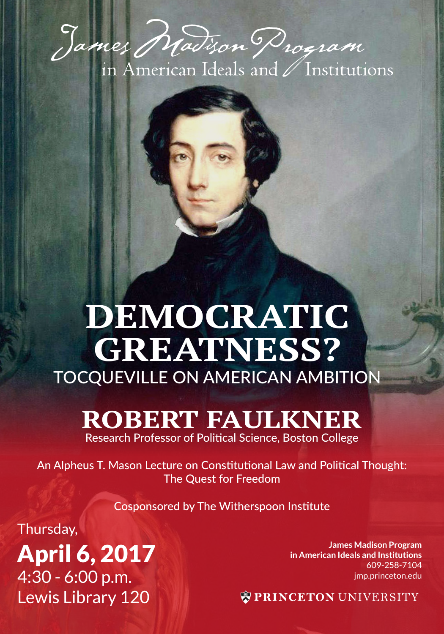



## **DEMOCRATIC GREATNESS?** TOCQUEVILLE ON AMERICAN AMBITION

## **ROBERT FAULKNER** Research Professor of Political Science, Boston College

An Alpheus T. Mason Lecture on Constitutional Law and Political Thought: The Quest for Freedom

Cosponsored by The Witherspoon Institute

Thursday,

April 6, 2017 4:30 - 6:00 p.m. Lewis Library 120

**James Madison Program in American Ideals and Institutions** 609-258-7104 jmp.princeton.edu

**E PRINCETON UNIVERSITY**